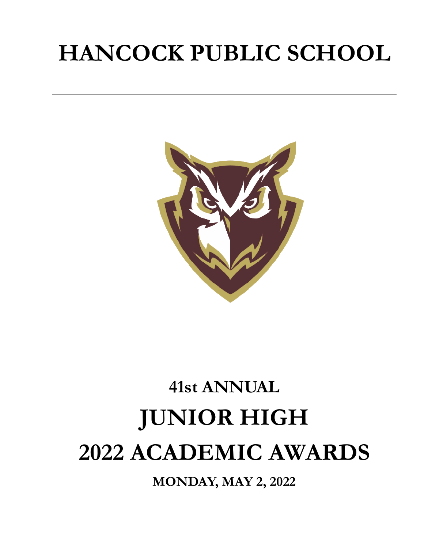## **HANCOCK PUBLIC SCHOOL**



# **41st ANNUAL JUNIOR HIGH 2022 ACADEMIC AWARDS**

**MONDAY, MAY 2, 2022**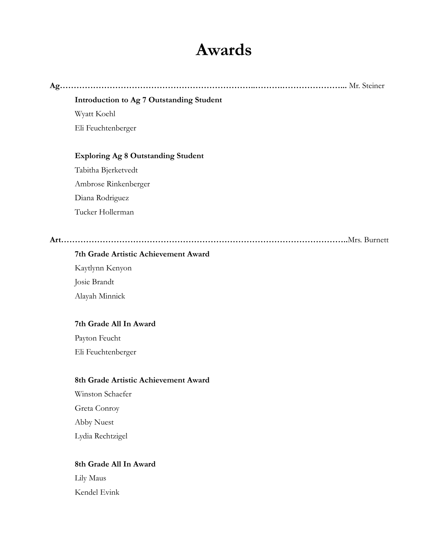## **Awards**

| Introduction to Ag 7 Outstanding Student  |
|-------------------------------------------|
| Wyatt Koehl                               |
| Eli Feuchtenberger                        |
| <b>Exploring Ag 8 Outstanding Student</b> |
| Tabitha Bjerketvedt                       |
| Ambrose Rinkenberger                      |
| Diana Rodriguez                           |
| Tucker Hollerman                          |
|                                           |
| 7th Grade Artistic Achievement Award      |

#### **7th Grade Artistic Achievement Award**

Kaytlynn Kenyon Josie Brandt Alayah Minnick

#### **7th Grade All In Award**

Payton Feucht Eli Feuchtenberger

#### **8th Grade Artistic Achievement Award**

Winston Schaefer Greta Conroy Abby Nuest Lydia Rechtzigel

#### **8th Grade All In Award**

Lily Maus Kendel Evink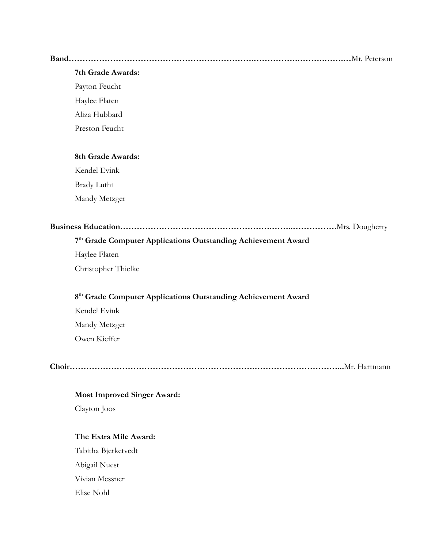#### **Band………………………………………………………….…………….……….…….…**Mr. Peterson

#### **7th Grade Awards:**

Payton Feucht

Haylee Flaten

Aliza Hubbard

Preston Feucht

#### **8th Grade Awards:**

Kendel Evink Brady Luthi Mandy Metzger

|--|--|

#### **7 th Grade Computer Applications Outstanding Achievement Award**

Haylee Flaten

Christopher Thielke

#### **8 th Grade Computer Applications Outstanding Achievement Award**

Kendel Evink Mandy Metzger Owen Kieffer

**Choir………………………………………………………….…………………………...**Mr. Hartmann

#### **Most Improved Singer Award:**

Clayton Joos

#### **The Extra Mile Award:**

Tabitha Bjerketvedt Abigail Nuest Vivian Messner Elise Nohl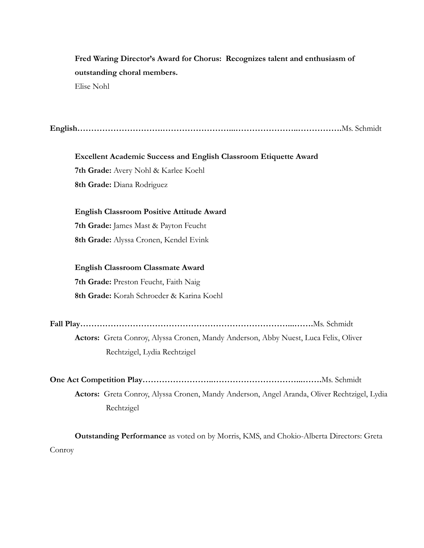### **Fred Waring Director's Award for Chorus: Recognizes talent and enthusiasm of outstanding choral members.**

Elise Nohl

**English………………………….……………………...…………………..…………….**Ms. Schmidt

**Excellent Academic Success and English Classroom Etiquette Award 7th Grade:** Avery Nohl & Karlee Koehl **8th Grade:** Diana Rodriguez

**English Classroom Positive Attitude Award**

**7th Grade:** James Mast & Payton Feucht **8th Grade:** Alyssa Cronen, Kendel Evink

**English Classroom Classmate Award 7th Grade:** Preston Feucht, Faith Naig **8th Grade:** Korah Schroeder & Karina Koehl

**Fall Play…………………………………………………………………...…….**Ms. Schmidt

**Actors:** Greta Conroy, Alyssa Cronen, Mandy Anderson, Abby Nuest, Luca Felix, Oliver Rechtzigel, Lydia Rechtzigel

**One Act Competition Play……………………..…………………………...…….**Ms. Schmidt

**Actors:** Greta Conroy, Alyssa Cronen, Mandy Anderson, Angel Aranda, Oliver Rechtzigel, Lydia Rechtzigel

**Outstanding Performance** as voted on by Morris, KMS, and Chokio-Alberta Directors: Greta Conroy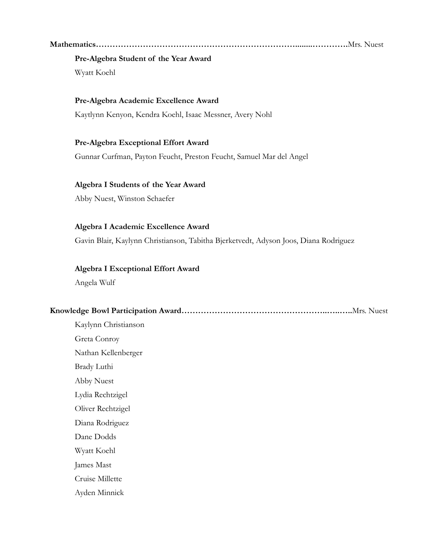#### **Mathematics………………………………………………………………........………….**Mrs. Nuest

#### **Pre-Algebra Student of the Year Award**

Wyatt Koehl

#### **Pre-Algebra Academic Excellence Award**

Kaytlynn Kenyon, Kendra Koehl, Isaac Messner, Avery Nohl

#### **Pre-Algebra Exceptional Effort Award**

Gunnar Curfman, Payton Feucht, Preston Feucht, Samuel Mar del Angel

#### **Algebra I Students of the Year Award**

Abby Nuest, Winston Schaefer

#### **Algebra I Academic Excellence Award**

Gavin Blair, Kaylynn Christianson, Tabitha Bjerketvedt, Adyson Joos, Diana Rodriguez

#### **Algebra I Exceptional Effort Award**

Angela Wulf

#### **Knowledge Bowl Participation Award……………………………………………..…..…..**Mrs. Nuest

Kaylynn Christianson Greta Conroy Nathan Kellenberger Brady Luthi Abby Nuest Lydia Rechtzigel Oliver Rechtzigel Diana Rodriguez Dane Dodds Wyatt Koehl James Mast Cruise Millette Ayden Minnick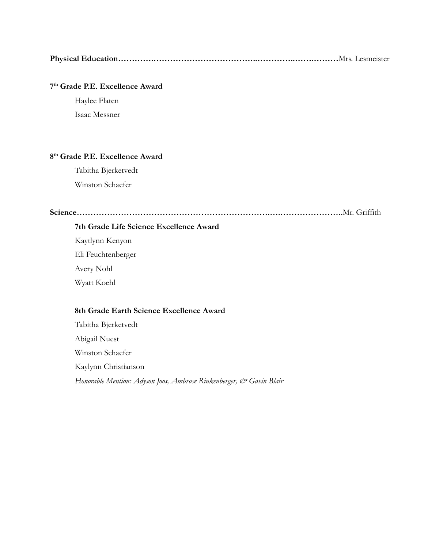|--|--|

#### **7 th Grade P.E. Excellence Award**

Haylee Flaten Isaac Messner

#### **8 th Grade P.E. Excellence Award**

Tabitha Bjerketvedt Winston Schaefer

**Science…………………………………………………………….….…………………..**Mr. Griffith

#### **7th Grade Life Science Excellence Award**

Kaytlynn Kenyon Eli Feuchtenberger Avery Nohl

Wyatt Koehl

#### **8th Grade Earth Science Excellence Award**

Tabitha Bjerketvedt Abigail Nuest Winston Schaefer Kaylynn Christianson *Honorable Mention: Adyson Joos, Ambrose Rinkenberger, & Gavin Blair*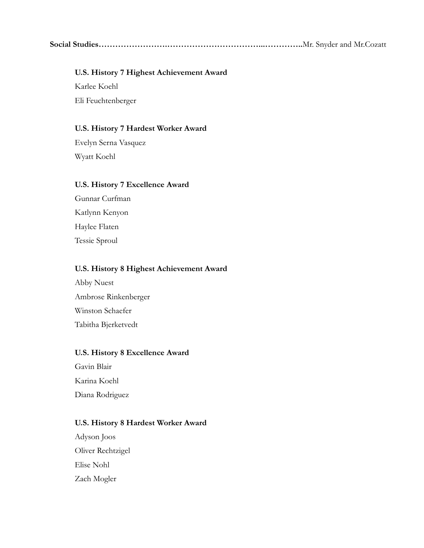**Social Studies…………………….……………………………...…………..**Mr. Snyder and Mr.Cozatt

#### **U.S. History 7 Highest Achievement Award**

Karlee Koehl Eli Feuchtenberger

#### **U.S. History 7 Hardest Worker Award**

Evelyn Serna Vasquez Wyatt Koehl

#### **U.S. History 7 Excellence Award**

Gunnar Curfman Katlynn Kenyon Haylee Flaten Tessie Sproul

#### **U.S. History 8 Highest Achievement Award**

Abby Nuest Ambrose Rinkenberger Winston Schaefer Tabitha Bjerketvedt

#### **U.S. History 8 Excellence Award**

Gavin Blair Karina Koehl Diana Rodriguez

#### **U.S. History 8 Hardest Worker Award**

Adyson Joos Oliver Rechtzigel Elise Nohl Zach Mogler